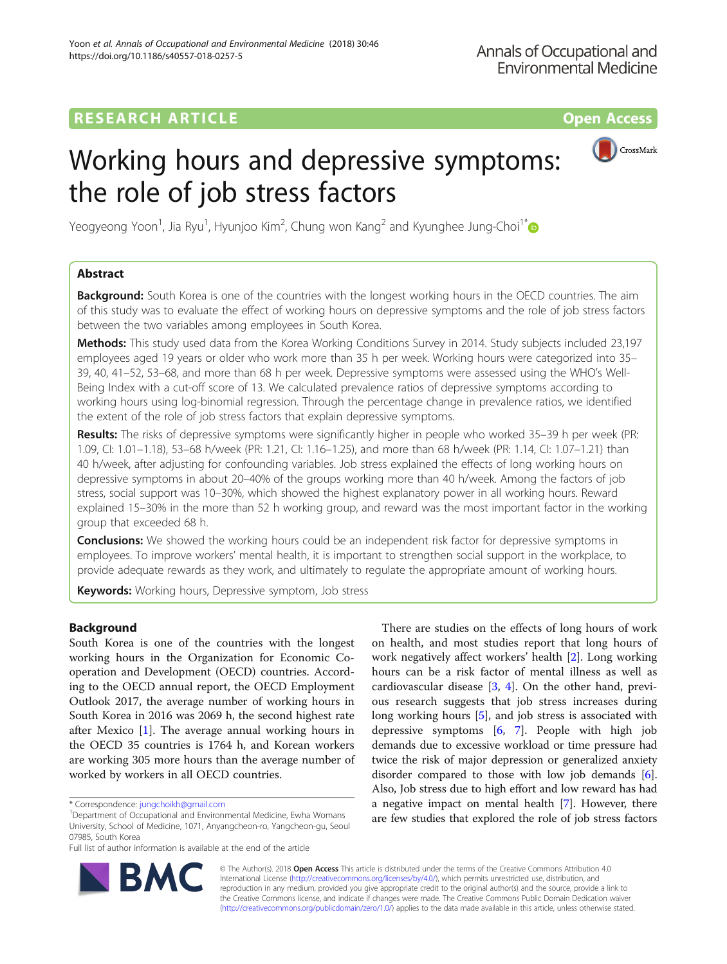## **RESEARCH ARTICLE Example 2014 12:30 The Contract of Contract ACCESS**

# Working hours and depressive symptoms: the role of job stress factors



Yeogyeong Yoon<sup>1</sup>, Jia Ryu<sup>1</sup>, Hyunjoo Kim<sup>2</sup>, Chung won Kang<sup>2</sup> and Kyunghee Jung-Choi<sup>1\*</sup>

## Abstract

**Background:** South Korea is one of the countries with the longest working hours in the OECD countries. The aim of this study was to evaluate the effect of working hours on depressive symptoms and the role of job stress factors between the two variables among employees in South Korea.

Methods: This study used data from the Korea Working Conditions Survey in 2014. Study subjects included 23,197 employees aged 19 years or older who work more than 35 h per week. Working hours were categorized into 35– 39, 40, 41–52, 53–68, and more than 68 h per week. Depressive symptoms were assessed using the WHO's Well-Being Index with a cut-off score of 13. We calculated prevalence ratios of depressive symptoms according to working hours using log-binomial regression. Through the percentage change in prevalence ratios, we identified the extent of the role of job stress factors that explain depressive symptoms.

Results: The risks of depressive symptoms were significantly higher in people who worked 35–39 h per week (PR: 1.09, CI: 1.01–1.18), 53–68 h/week (PR: 1.21, CI: 1.16–1.25), and more than 68 h/week (PR: 1.14, CI: 1.07–1.21) than 40 h/week, after adjusting for confounding variables. Job stress explained the effects of long working hours on depressive symptoms in about 20–40% of the groups working more than 40 h/week. Among the factors of job stress, social support was 10–30%, which showed the highest explanatory power in all working hours. Reward explained 15–30% in the more than 52 h working group, and reward was the most important factor in the working group that exceeded 68 h.

**Conclusions:** We showed the working hours could be an independent risk factor for depressive symptoms in employees. To improve workers' mental health, it is important to strengthen social support in the workplace, to provide adequate rewards as they work, and ultimately to regulate the appropriate amount of working hours.

Keywords: Working hours, Depressive symptom, Job stress

## Background

South Korea is one of the countries with the longest working hours in the Organization for Economic Cooperation and Development (OECD) countries. According to the OECD annual report, the OECD Employment Outlook 2017, the average number of working hours in South Korea in 2016 was 2069 h, the second highest rate after Mexico [[1\]](#page-8-0). The average annual working hours in the OECD 35 countries is 1764 h, and Korean workers are working 305 more hours than the average number of worked by workers in all OECD countries.

Full list of author information is available at the end of the article



There are studies on the effects of long hours of work on health, and most studies report that long hours of work negatively affect workers' health [[2](#page-8-0)]. Long working hours can be a risk factor of mental illness as well as cardiovascular disease [\[3,](#page-8-0) [4](#page-8-0)]. On the other hand, previous research suggests that job stress increases during long working hours [\[5](#page-8-0)], and job stress is associated with depressive symptoms [\[6,](#page-8-0) [7\]](#page-8-0). People with high job demands due to excessive workload or time pressure had twice the risk of major depression or generalized anxiety disorder compared to those with low job demands [[6](#page-8-0)]. Also, Job stress due to high effort and low reward has had a negative impact on mental health [[7\]](#page-8-0). However, there are few studies that explored the role of job stress factors

© The Author(s). 2018 Open Access This article is distributed under the terms of the Creative Commons Attribution 4.0 International License [\(http://creativecommons.org/licenses/by/4.0/](http://creativecommons.org/licenses/by/4.0/)), which permits unrestricted use, distribution, and reproduction in any medium, provided you give appropriate credit to the original author(s) and the source, provide a link to the Creative Commons license, and indicate if changes were made. The Creative Commons Public Domain Dedication waiver [\(http://creativecommons.org/publicdomain/zero/1.0/](http://creativecommons.org/publicdomain/zero/1.0/)) applies to the data made available in this article, unless otherwise stated.

<sup>\*</sup> Correspondence: [jungchoikh@gmail.com](mailto:jungchoikh@gmail.com) <sup>1</sup>

<sup>&</sup>lt;sup>1</sup>Department of Occupational and Environmental Medicine, Ewha Womans University, School of Medicine, 1071, Anyangcheon-ro, Yangcheon-gu, Seoul 07985, South Korea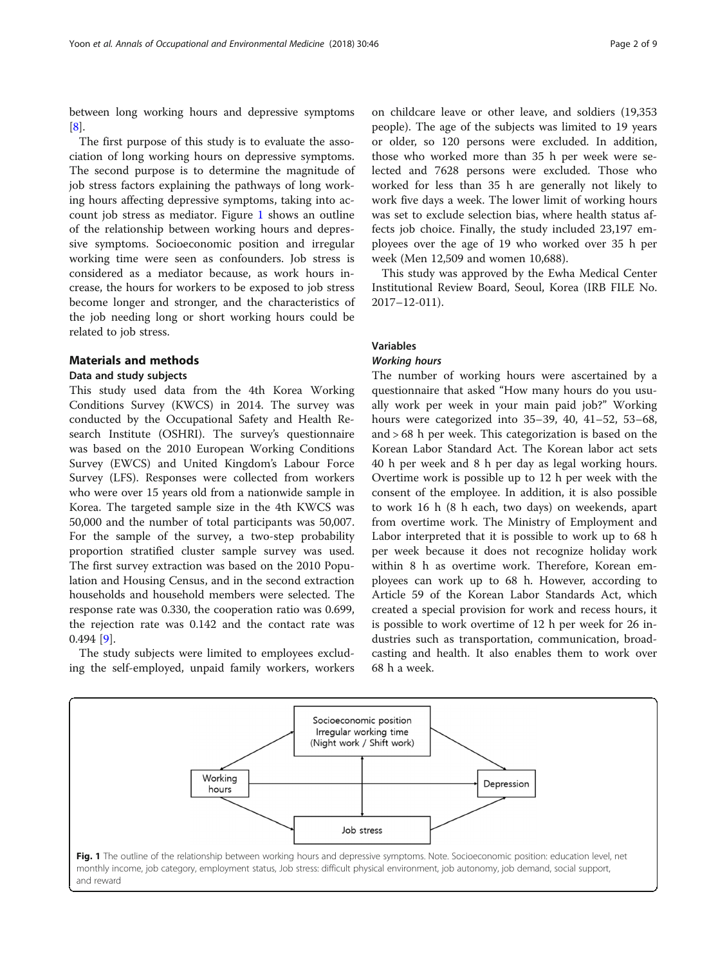between long working hours and depressive symptoms [[8\]](#page-8-0).

The first purpose of this study is to evaluate the association of long working hours on depressive symptoms. The second purpose is to determine the magnitude of job stress factors explaining the pathways of long working hours affecting depressive symptoms, taking into account job stress as mediator. Figure 1 shows an outline of the relationship between working hours and depressive symptoms. Socioeconomic position and irregular working time were seen as confounders. Job stress is considered as a mediator because, as work hours increase, the hours for workers to be exposed to job stress become longer and stronger, and the characteristics of the job needing long or short working hours could be related to job stress.

#### Materials and methods

#### Data and study subjects

This study used data from the 4th Korea Working Conditions Survey (KWCS) in 2014. The survey was conducted by the Occupational Safety and Health Research Institute (OSHRI). The survey's questionnaire was based on the 2010 European Working Conditions Survey (EWCS) and United Kingdom's Labour Force Survey (LFS). Responses were collected from workers who were over 15 years old from a nationwide sample in Korea. The targeted sample size in the 4th KWCS was 50,000 and the number of total participants was 50,007. For the sample of the survey, a two-step probability proportion stratified cluster sample survey was used. The first survey extraction was based on the 2010 Population and Housing Census, and in the second extraction households and household members were selected. The response rate was 0.330, the cooperation ratio was 0.699, the rejection rate was 0.142 and the contact rate was 0.494 [[9\]](#page-8-0).

The study subjects were limited to employees excluding the self-employed, unpaid family workers, workers

on childcare leave or other leave, and soldiers (19,353 people). The age of the subjects was limited to 19 years or older, so 120 persons were excluded. In addition, those who worked more than 35 h per week were selected and 7628 persons were excluded. Those who worked for less than 35 h are generally not likely to work five days a week. The lower limit of working hours was set to exclude selection bias, where health status affects job choice. Finally, the study included 23,197 employees over the age of 19 who worked over 35 h per week (Men 12,509 and women 10,688).

This study was approved by the Ewha Medical Center Institutional Review Board, Seoul, Korea (IRB FILE No. 2017–12-011).

## Variables

#### Working hours

The number of working hours were ascertained by a questionnaire that asked "How many hours do you usually work per week in your main paid job?" Working hours were categorized into 35–39, 40, 41–52, 53–68, and > 68 h per week. This categorization is based on the Korean Labor Standard Act. The Korean labor act sets 40 h per week and 8 h per day as legal working hours. Overtime work is possible up to 12 h per week with the consent of the employee. In addition, it is also possible to work 16 h (8 h each, two days) on weekends, apart from overtime work. The Ministry of Employment and Labor interpreted that it is possible to work up to 68 h per week because it does not recognize holiday work within 8 h as overtime work. Therefore, Korean employees can work up to 68 h. However, according to Article 59 of the Korean Labor Standards Act, which created a special provision for work and recess hours, it is possible to work overtime of 12 h per week for 26 industries such as transportation, communication, broadcasting and health. It also enables them to work over 68 h a week.

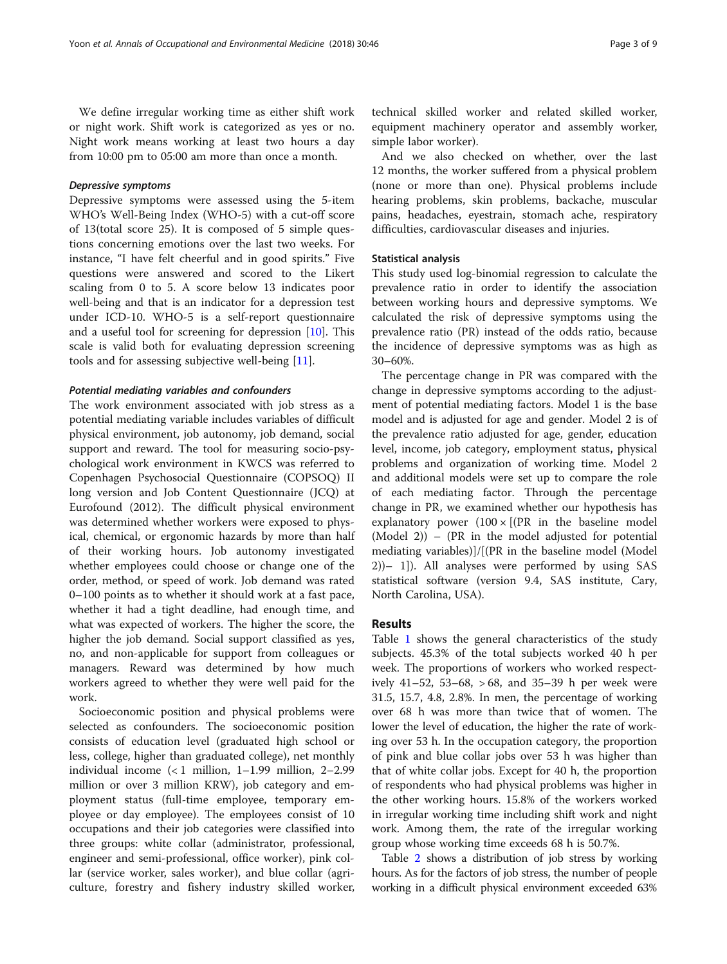We define irregular working time as either shift work or night work. Shift work is categorized as yes or no. Night work means working at least two hours a day from 10:00 pm to 05:00 am more than once a month.

#### Depressive symptoms

Depressive symptoms were assessed using the 5-item WHO's Well-Being Index (WHO-5) with a cut-off score of 13(total score 25). It is composed of 5 simple questions concerning emotions over the last two weeks. For instance, "I have felt cheerful and in good spirits." Five questions were answered and scored to the Likert scaling from 0 to 5. A score below 13 indicates poor well-being and that is an indicator for a depression test under ICD-10. WHO-5 is a self-report questionnaire and a useful tool for screening for depression [[10\]](#page-8-0). This scale is valid both for evaluating depression screening tools and for assessing subjective well-being [[11\]](#page-8-0).

#### Potential mediating variables and confounders

The work environment associated with job stress as a potential mediating variable includes variables of difficult physical environment, job autonomy, job demand, social support and reward. The tool for measuring socio-psychological work environment in KWCS was referred to Copenhagen Psychosocial Questionnaire (COPSOQ) II long version and Job Content Questionnaire (JCQ) at Eurofound (2012). The difficult physical environment was determined whether workers were exposed to physical, chemical, or ergonomic hazards by more than half of their working hours. Job autonomy investigated whether employees could choose or change one of the order, method, or speed of work. Job demand was rated 0–100 points as to whether it should work at a fast pace, whether it had a tight deadline, had enough time, and what was expected of workers. The higher the score, the higher the job demand. Social support classified as yes, no, and non-applicable for support from colleagues or managers. Reward was determined by how much workers agreed to whether they were well paid for the work.

Socioeconomic position and physical problems were selected as confounders. The socioeconomic position consists of education level (graduated high school or less, college, higher than graduated college), net monthly individual income (< 1 million, 1–1.99 million, 2–2.99 million or over 3 million KRW), job category and employment status (full-time employee, temporary employee or day employee). The employees consist of 10 occupations and their job categories were classified into three groups: white collar (administrator, professional, engineer and semi-professional, office worker), pink collar (service worker, sales worker), and blue collar (agriculture, forestry and fishery industry skilled worker, technical skilled worker and related skilled worker, equipment machinery operator and assembly worker, simple labor worker).

And we also checked on whether, over the last 12 months, the worker suffered from a physical problem (none or more than one). Physical problems include hearing problems, skin problems, backache, muscular pains, headaches, eyestrain, stomach ache, respiratory difficulties, cardiovascular diseases and injuries.

#### Statistical analysis

This study used log-binomial regression to calculate the prevalence ratio in order to identify the association between working hours and depressive symptoms. We calculated the risk of depressive symptoms using the prevalence ratio (PR) instead of the odds ratio, because the incidence of depressive symptoms was as high as 30–60%.

The percentage change in PR was compared with the change in depressive symptoms according to the adjustment of potential mediating factors. Model 1 is the base model and is adjusted for age and gender. Model 2 is of the prevalence ratio adjusted for age, gender, education level, income, job category, employment status, physical problems and organization of working time. Model 2 and additional models were set up to compare the role of each mediating factor. Through the percentage change in PR, we examined whether our hypothesis has explanatory power  $(100 \times [(PR \text{ in the baseline model})])$ (Model 2)) – (PR in the model adjusted for potential mediating variables)]/[(PR in the baseline model (Model 2))– 1]). All analyses were performed by using SAS statistical software (version 9.4, SAS institute, Cary, North Carolina, USA).

#### Results

Table [1](#page-3-0) shows the general characteristics of the study subjects. 45.3% of the total subjects worked 40 h per week. The proportions of workers who worked respectively 41–52, 53–68, > 68, and 35–39 h per week were 31.5, 15.7, 4.8, 2.8%. In men, the percentage of working over 68 h was more than twice that of women. The lower the level of education, the higher the rate of working over 53 h. In the occupation category, the proportion of pink and blue collar jobs over 53 h was higher than that of white collar jobs. Except for 40 h, the proportion of respondents who had physical problems was higher in the other working hours. 15.8% of the workers worked in irregular working time including shift work and night work. Among them, the rate of the irregular working group whose working time exceeds 68 h is 50.7%.

Table [2](#page-4-0) shows a distribution of job stress by working hours. As for the factors of job stress, the number of people working in a difficult physical environment exceeded 63%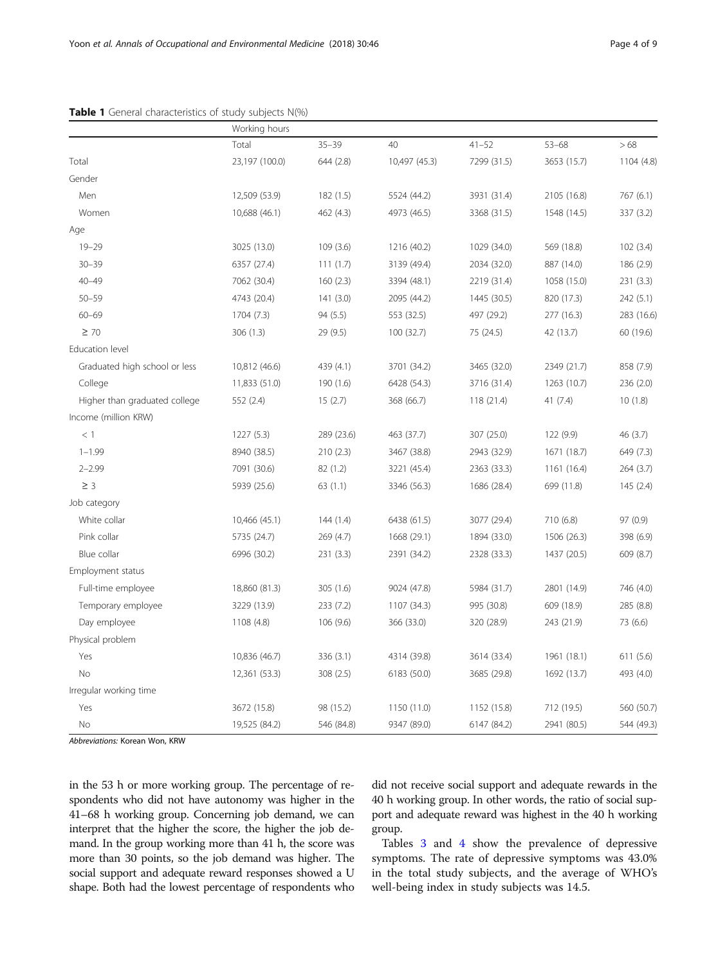### <span id="page-3-0"></span>Table 1 General characteristics of study subjects N(%)

|                               | Working hours  |            |               |             |             |            |
|-------------------------------|----------------|------------|---------------|-------------|-------------|------------|
|                               | Total          | $35 - 39$  | 40            | $41 - 52$   | $53 - 68$   | >68        |
| Total                         | 23,197 (100.0) | 644 (2.8)  | 10,497 (45.3) | 7299 (31.5) | 3653 (15.7) | 1104 (4.8) |
| Gender                        |                |            |               |             |             |            |
| Men                           | 12,509 (53.9)  | 182 (1.5)  | 5524 (44.2)   | 3931 (31.4) | 2105 (16.8) | 767(6.1)   |
| Women                         | 10,688 (46.1)  | 462 (4.3)  | 4973 (46.5)   | 3368 (31.5) | 1548 (14.5) | 337 (3.2)  |
| Age                           |                |            |               |             |             |            |
| $19 - 29$                     | 3025 (13.0)    | 109(3.6)   | 1216 (40.2)   | 1029 (34.0) | 569 (18.8)  | 102(3.4)   |
| $30 - 39$                     | 6357 (27.4)    | 111(1.7)   | 3139 (49.4)   | 2034 (32.0) | 887 (14.0)  | 186 (2.9)  |
| $40 - 49$                     | 7062 (30.4)    | 160(2.3)   | 3394 (48.1)   | 2219 (31.4) | 1058 (15.0) | 231(3.3)   |
| $50 - 59$                     | 4743 (20.4)    | 141(3.0)   | 2095 (44.2)   | 1445 (30.5) | 820 (17.3)  | 242(5.1)   |
| $60 - 69$                     | 1704 (7.3)     | 94 (5.5)   | 553 (32.5)    | 497 (29.2)  | 277 (16.3)  | 283 (16.6) |
| $\geq 70$                     | 306 (1.3)      | 29 (9.5)   | 100(32.7)     | 75 (24.5)   | 42 (13.7)   | 60 (19.6)  |
| Education level               |                |            |               |             |             |            |
| Graduated high school or less | 10,812 (46.6)  | 439 (4.1)  | 3701 (34.2)   | 3465 (32.0) | 2349 (21.7) | 858 (7.9)  |
| College                       | 11,833 (51.0)  | 190 (1.6)  | 6428 (54.3)   | 3716 (31.4) | 1263 (10.7) | 236 (2.0)  |
| Higher than graduated college | 552 (2.4)      | 15(2.7)    | 368 (66.7)    | 118 (21.4)  | 41 (7.4)    | 10(1.8)    |
| Income (million KRW)          |                |            |               |             |             |            |
| $<$ 1                         | 1227(5.3)      | 289 (23.6) | 463 (37.7)    | 307 (25.0)  | 122 (9.9)   | 46(3.7)    |
| $1 - 1.99$                    | 8940 (38.5)    | 210 (2.3)  | 3467 (38.8)   | 2943 (32.9) | 1671 (18.7) | 649 (7.3)  |
| $2 - 2.99$                    | 7091 (30.6)    | 82 (1.2)   | 3221 (45.4)   | 2363 (33.3) | 1161 (16.4) | 264(3.7)   |
| $\geq$ 3                      | 5939 (25.6)    | 63(1.1)    | 3346 (56.3)   | 1686 (28.4) | 699 (11.8)  | 145(2.4)   |
| Job category                  |                |            |               |             |             |            |
| White collar                  | 10,466 (45.1)  | 144(1.4)   | 6438 (61.5)   | 3077 (29.4) | 710 (6.8)   | 97 (0.9)   |
| Pink collar                   | 5735 (24.7)    | 269 (4.7)  | 1668 (29.1)   | 1894 (33.0) | 1506 (26.3) | 398 (6.9)  |
| Blue collar                   | 6996 (30.2)    | 231 (3.3)  | 2391 (34.2)   | 2328 (33.3) | 1437 (20.5) | 609 (8.7)  |
| Employment status             |                |            |               |             |             |            |
| Full-time employee            | 18,860 (81.3)  | 305 (1.6)  | 9024 (47.8)   | 5984 (31.7) | 2801 (14.9) | 746 (4.0)  |
| Temporary employee            | 3229 (13.9)    | 233 (7.2)  | 1107 (34.3)   | 995 (30.8)  | 609 (18.9)  | 285 (8.8)  |
| Day employee                  | 1108 (4.8)     | 106 (9.6)  | 366 (33.0)    | 320 (28.9)  | 243 (21.9)  | 73 (6.6)   |
| Physical problem              |                |            |               |             |             |            |
| Yes                           | 10,836 (46.7)  | 336 (3.1)  | 4314 (39.8)   | 3614 (33.4) | 1961 (18.1) | 611 (5.6)  |
| No                            | 12,361 (53.3)  | 308 (2.5)  | 6183 (50.0)   | 3685 (29.8) | 1692 (13.7) | 493 (4.0)  |
| Irregular working time        |                |            |               |             |             |            |
| Yes                           | 3672 (15.8)    | 98 (15.2)  | 1150 (11.0)   | 1152 (15.8) | 712 (19.5)  | 560 (50.7) |
| No                            | 19,525 (84.2)  | 546 (84.8) | 9347 (89.0)   | 6147 (84.2) | 2941 (80.5) | 544 (49.3) |

Abbreviations: Korean Won, KRW

in the 53 h or more working group. The percentage of respondents who did not have autonomy was higher in the 41–68 h working group. Concerning job demand, we can interpret that the higher the score, the higher the job demand. In the group working more than 41 h, the score was more than 30 points, so the job demand was higher. The social support and adequate reward responses showed a U shape. Both had the lowest percentage of respondents who did not receive social support and adequate rewards in the 40 h working group. In other words, the ratio of social support and adequate reward was highest in the 40 h working group.

Tables [3](#page-5-0) and [4](#page-5-0) show the prevalence of depressive symptoms. The rate of depressive symptoms was 43.0% in the total study subjects, and the average of WHO's well-being index in study subjects was 14.5.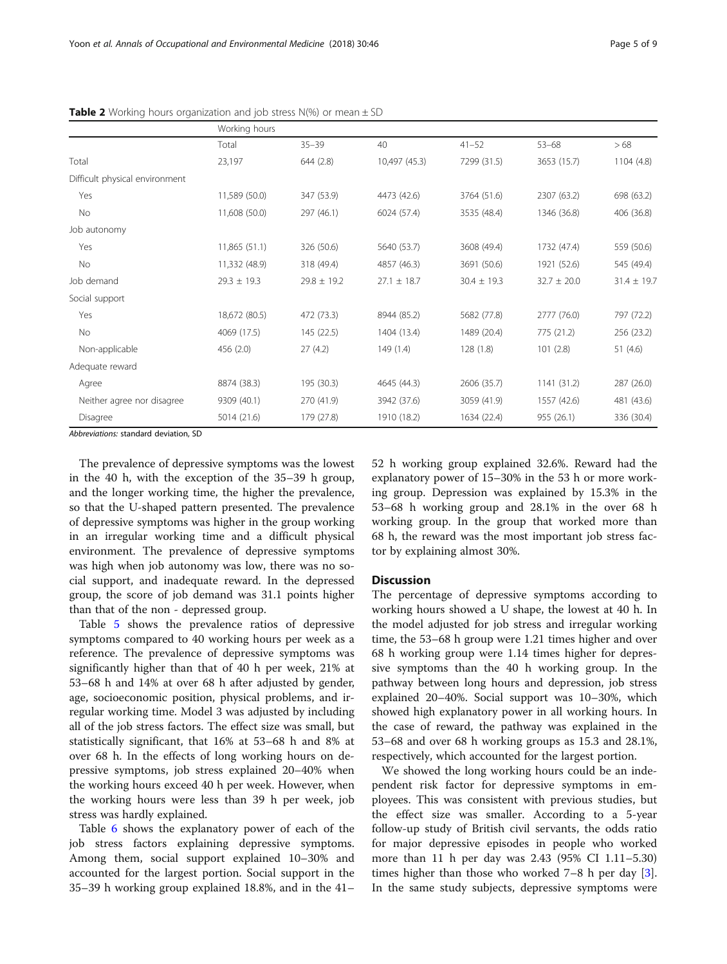|                                | Working hours   |                 |                 |                 |                 |                 |
|--------------------------------|-----------------|-----------------|-----------------|-----------------|-----------------|-----------------|
|                                | Total           | $35 - 39$       | 40              | $41 - 52$       | $53 - 68$       | >68             |
| Total                          | 23,197          | 644(2.8)        | 10,497 (45.3)   | 7299 (31.5)     | 3653 (15.7)     | 1104 (4.8)      |
| Difficult physical environment |                 |                 |                 |                 |                 |                 |
| Yes                            | 11,589 (50.0)   | 347 (53.9)      | 4473 (42.6)     | 3764 (51.6)     | 2307 (63.2)     | 698 (63.2)      |
| No                             | 11,608 (50.0)   | 297 (46.1)      | 6024 (57.4)     | 3535 (48.4)     | 1346 (36.8)     | 406 (36.8)      |
| Job autonomy                   |                 |                 |                 |                 |                 |                 |
| Yes                            | 11,865 (51.1)   | 326 (50.6)      | 5640 (53.7)     | 3608 (49.4)     | 1732 (47.4)     | 559 (50.6)      |
| No                             | 11,332 (48.9)   | 318 (49.4)      | 4857 (46.3)     | 3691 (50.6)     | 1921 (52.6)     | 545 (49.4)      |
| Job demand                     | $29.3 \pm 19.3$ | $29.8 \pm 19.2$ | $27.1 \pm 18.7$ | $30.4 \pm 19.3$ | $32.7 \pm 20.0$ | $31.4 \pm 19.7$ |
| Social support                 |                 |                 |                 |                 |                 |                 |
| Yes                            | 18,672 (80.5)   | 472 (73.3)      | 8944 (85.2)     | 5682 (77.8)     | 2777 (76.0)     | 797 (72.2)      |
| No                             | 4069 (17.5)     | 145 (22.5)      | 1404 (13.4)     | 1489 (20.4)     | 775 (21.2)      | 256 (23.2)      |
| Non-applicable                 | 456 (2.0)       | 27(4.2)         | 149(1.4)        | 128(1.8)        | 101(2.8)        | 51 $(4.6)$      |
| Adequate reward                |                 |                 |                 |                 |                 |                 |
| Agree                          | 8874 (38.3)     | 195 (30.3)      | 4645 (44.3)     | 2606 (35.7)     | 1141 (31.2)     | 287 (26.0)      |
| Neither agree nor disagree     | 9309 (40.1)     | 270 (41.9)      | 3942 (37.6)     | 3059 (41.9)     | 1557 (42.6)     | 481 (43.6)      |
| Disagree                       | 5014 (21.6)     | 179 (27.8)      | 1910 (18.2)     | 1634 (22.4)     | 955 (26.1)      | 336 (30.4)      |

<span id="page-4-0"></span>**Table 2** Working hours organization and job stress  $N(\%)$  or mean  $\pm$  SD

Abbreviations: standard deviation, SD

The prevalence of depressive symptoms was the lowest in the 40 h, with the exception of the 35–39 h group, and the longer working time, the higher the prevalence, so that the U-shaped pattern presented. The prevalence of depressive symptoms was higher in the group working in an irregular working time and a difficult physical environment. The prevalence of depressive symptoms was high when job autonomy was low, there was no social support, and inadequate reward. In the depressed group, the score of job demand was 31.1 points higher than that of the non - depressed group.

Table [5](#page-6-0) shows the prevalence ratios of depressive symptoms compared to 40 working hours per week as a reference. The prevalence of depressive symptoms was significantly higher than that of 40 h per week, 21% at 53–68 h and 14% at over 68 h after adjusted by gender, age, socioeconomic position, physical problems, and irregular working time. Model 3 was adjusted by including all of the job stress factors. The effect size was small, but statistically significant, that 16% at 53–68 h and 8% at over 68 h. In the effects of long working hours on depressive symptoms, job stress explained 20–40% when the working hours exceed 40 h per week. However, when the working hours were less than 39 h per week, job stress was hardly explained.

Table [6](#page-6-0) shows the explanatory power of each of the job stress factors explaining depressive symptoms. Among them, social support explained 10–30% and accounted for the largest portion. Social support in the 35–39 h working group explained 18.8%, and in the 41–

52 h working group explained 32.6%. Reward had the explanatory power of 15–30% in the 53 h or more working group. Depression was explained by 15.3% in the 53–68 h working group and 28.1% in the over 68 h working group. In the group that worked more than 68 h, the reward was the most important job stress factor by explaining almost 30%.

#### **Discussion**

The percentage of depressive symptoms according to working hours showed a U shape, the lowest at 40 h. In the model adjusted for job stress and irregular working time, the 53–68 h group were 1.21 times higher and over 68 h working group were 1.14 times higher for depressive symptoms than the 40 h working group. In the pathway between long hours and depression, job stress explained 20–40%. Social support was 10–30%, which showed high explanatory power in all working hours. In the case of reward, the pathway was explained in the 53–68 and over 68 h working groups as 15.3 and 28.1%, respectively, which accounted for the largest portion.

We showed the long working hours could be an independent risk factor for depressive symptoms in employees. This was consistent with previous studies, but the effect size was smaller. According to a 5-year follow-up study of British civil servants, the odds ratio for major depressive episodes in people who worked more than 11 h per day was 2.43 (95% CI 1.11–5.30) times higher than those who worked  $7-8$  h per day  $[3]$  $[3]$ . In the same study subjects, depressive symptoms were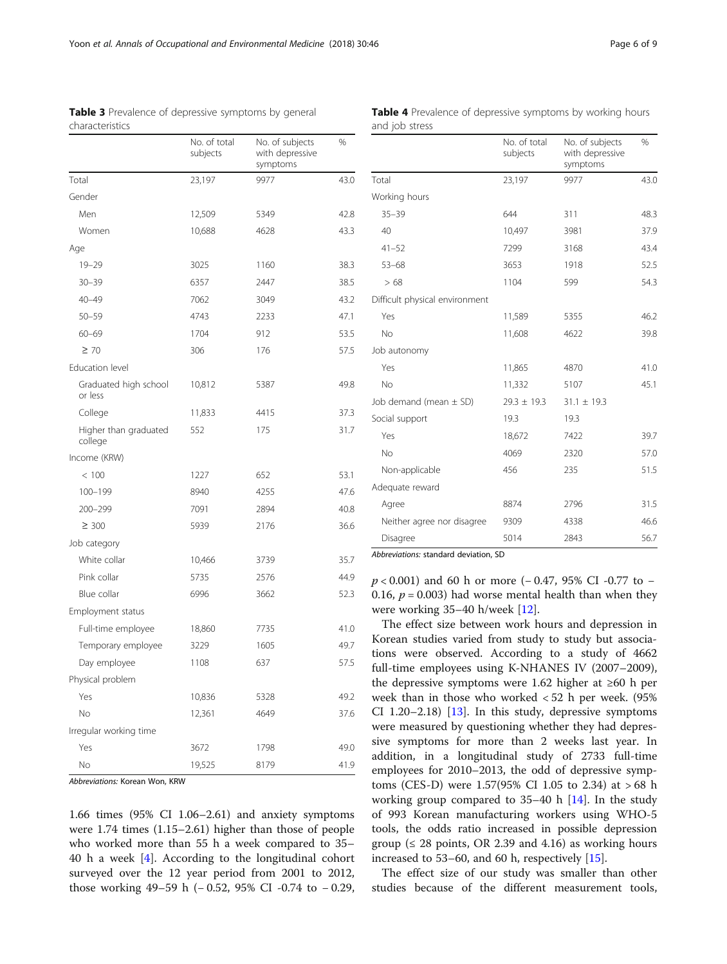|                                  | No. of total<br>subjects | No. of subjects<br>with depressive<br>symptoms | $\%$ |
|----------------------------------|--------------------------|------------------------------------------------|------|
| Total                            | 23,197                   | 9977                                           | 43.0 |
| Gender                           |                          |                                                |      |
| Men                              | 12,509                   | 5349                                           | 42.8 |
| Women                            | 10,688                   | 4628                                           | 43.3 |
| Age                              |                          |                                                |      |
| $19 - 29$                        | 3025                     | 1160                                           | 38.3 |
| $30 - 39$                        | 6357                     | 2447                                           | 38.5 |
| $40 - 49$                        | 7062                     | 3049                                           | 43.2 |
| $50 - 59$                        | 4743                     | 2233                                           | 47.1 |
| $60 - 69$                        | 1704                     | 912                                            | 53.5 |
| $\geq 70$                        | 306                      | 176                                            | 57.5 |
| Education level                  |                          |                                                |      |
| Graduated high school<br>or less | 10,812                   | 5387                                           | 49.8 |
| College                          | 11,833                   | 4415                                           | 37.3 |
| Higher than graduated<br>college | 552                      | 175                                            | 31.7 |
| Income (KRW)                     |                          |                                                |      |
| < 100                            | 1227                     | 652                                            | 53.1 |
| 100-199                          | 8940                     | 4255                                           | 47.6 |
| 200-299                          | 7091                     | 2894                                           | 40.8 |
| $\geq 300$                       | 5939                     | 2176                                           | 36.6 |
| Job category                     |                          |                                                |      |
| White collar                     | 10,466                   | 3739                                           | 35.7 |
| Pink collar                      | 5735                     | 2576                                           | 44.9 |
| Blue collar                      | 6996                     | 3662                                           | 52.3 |
| Employment status                |                          |                                                |      |
| Full-time employee               | 18,860                   | 7735                                           | 41.0 |
| Temporary employee               | 3229                     | 1605                                           | 49.7 |
| Day employee                     | 1108                     | 637                                            | 57.5 |
| Physical problem                 |                          |                                                |      |
| Yes                              | 10,836                   | 5328                                           | 49.2 |
| No                               | 12,361                   | 4649                                           | 37.6 |
| Irregular working time           |                          |                                                |      |
| Yes                              | 3672                     | 1798                                           | 49.0 |
| No                               | 19,525                   | 8179                                           | 41.9 |

<span id="page-5-0"></span>Table 3 Prevalence of depressive symptoms by general characteristics

Abbreviations: Korean Won, KRW

1.66 times (95% CI 1.06–2.61) and anxiety symptoms were 1.74 times (1.15–2.61) higher than those of people who worked more than 55 h a week compared to 35– 40 h a week [\[4](#page-8-0)]. According to the longitudinal cohort surveyed over the 12 year period from 2001 to 2012, those working 49–59 h (− 0.52, 95% CI -0.74 to − 0.29,

|                                | No. of total<br>subjects | No. of subjects<br>with depressive<br>symptoms | %    |
|--------------------------------|--------------------------|------------------------------------------------|------|
| Total                          | 23,197                   | 9977                                           | 43.0 |
| Working hours                  |                          |                                                |      |
| $35 - 39$                      | 644                      | 311                                            | 48.3 |
| 40                             | 10,497                   | 3981                                           | 37.9 |
| $41 - 52$                      | 7299                     | 3168                                           | 43.4 |
| $53 - 68$                      | 3653                     | 1918                                           | 52.5 |
| >68                            | 1104                     | 599                                            | 54.3 |
| Difficult physical environment |                          |                                                |      |
| Yes                            | 11,589                   | 5355                                           | 46.2 |
| No                             | 11,608                   | 4622                                           | 39.8 |
| Job autonomy                   |                          |                                                |      |
| Yes                            | 11,865                   | 4870                                           | 41.0 |
| No                             | 11,332                   | 5107                                           | 45.1 |
| Job demand (mean $\pm$ SD)     | $29.3 \pm 19.3$          | $31.1 \pm 19.3$                                |      |
| Social support                 | 19.3                     | 19.3                                           |      |
| Yes                            | 18,672                   | 7422                                           | 39.7 |
| <b>No</b>                      | 4069                     | 2320                                           | 57.0 |
| Non-applicable                 | 456                      | 235                                            | 51.5 |
| Adequate reward                |                          |                                                |      |
| Agree                          | 8874                     | 2796                                           | 31.5 |
| Neither agree nor disagree     | 9309                     | 4338                                           | 46.6 |
| Disagree                       | 5014                     | 2843                                           | 56.7 |

Table 4 Prevalence of depressive symptoms by working hours

and job stress

Abbreviations: standard deviation, SD

p < 0.001) and 60 h or more (− 0.47, 95% CI -0.77 to − 0.16,  $p = 0.003$ ) had worse mental health than when they were working 35–40 h/week [\[12](#page-8-0)].

The effect size between work hours and depression in Korean studies varied from study to study but associations were observed. According to a study of 4662 full-time employees using K-NHANES IV (2007–2009), the depressive symptoms were 1.62 higher at ≥60 h per week than in those who worked < 52 h per week. (95% CI 1.20–2.18) [[13](#page-8-0)]. In this study, depressive symptoms were measured by questioning whether they had depressive symptoms for more than 2 weeks last year. In addition, in a longitudinal study of 2733 full-time employees for 2010–2013, the odd of depressive symptoms (CES-D) were 1.57(95% CI 1.05 to 2.34) at > 68 h working group compared to  $35-40$  h [\[14](#page-8-0)]. In the study of 993 Korean manufacturing workers using WHO-5 tools, the odds ratio increased in possible depression group ( $\leq$  28 points, OR 2.39 and 4.16) as working hours increased to 53–60, and 60 h, respectively [[15](#page-8-0)].

The effect size of our study was smaller than other studies because of the different measurement tools,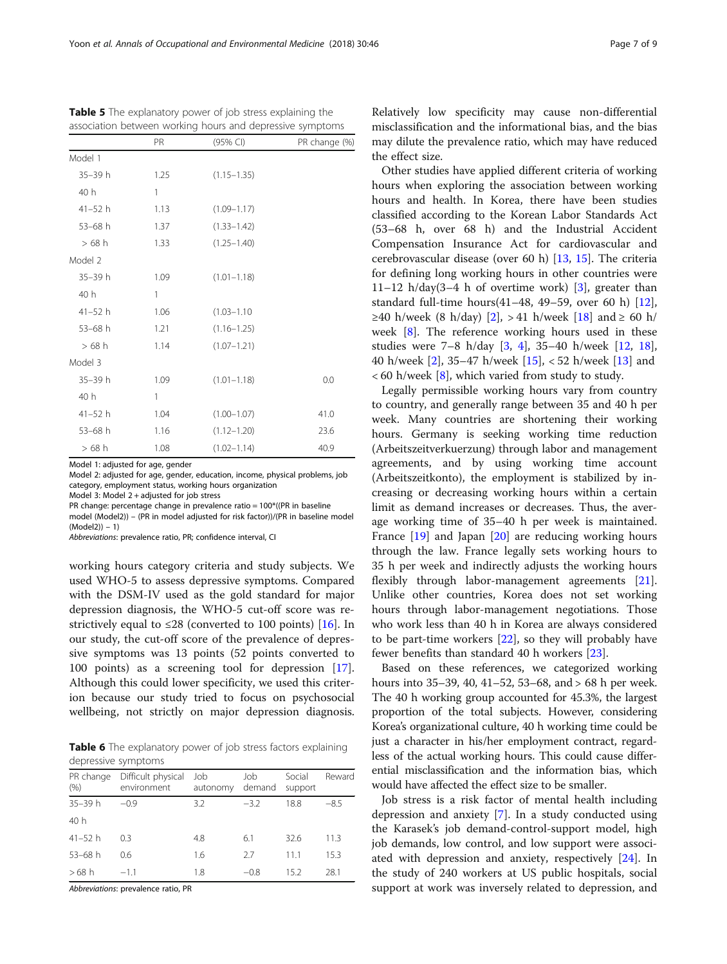Model 1: adjusted for age, gender

Model 2: adjusted for age, gender, education, income, physical problems, job category, employment status, working hours organization

Model 3: Model 2 + adjusted for job stress

PR change: percentage change in prevalence ratio = 100\*((PR in baseline model (Model2)) – (PR in model adjusted for risk factor))/(PR in baseline model (Model2)) – 1)

Abbreviations: prevalence ratio, PR; confidence interval, CI

working hours category criteria and study subjects. We used WHO-5 to assess depressive symptoms. Compared with the DSM-IV used as the gold standard for major depression diagnosis, the WHO-5 cut-off score was restrictively equal to  $\leq$ 28 (converted to 100 points) [[16](#page-8-0)]. In our study, the cut-off score of the prevalence of depressive symptoms was 13 points (52 points converted to 100 points) as a screening tool for depression [\[17](#page-8-0)]. Although this could lower specificity, we used this criterion because our study tried to focus on psychosocial wellbeing, not strictly on major depression diagnosis.

Table 6 The explanatory power of job stress factors explaining depressive symptoms

| PR change<br>(% ) | Difficult physical<br>environment | Job<br>autonomy | Job<br>demand | Social<br>support | Reward |
|-------------------|-----------------------------------|-----------------|---------------|-------------------|--------|
| $35 - 39h$        | $-0.9$                            | 3.2             | $-3.2$        | 18.8              | $-8.5$ |
| 40h               |                                   |                 |               |                   |        |
| $41 - 52h$        | 0.3                               | 4.8             | 6.1           | 32.6              | 11.3   |
| $53 - 68$ h       | 0.6                               | 1.6             | 27            | 11.1              | 15.3   |
| $>68$ h           | $-1.1$                            | 1.8             | $-0.8$        | 15.2              | 28.1   |

Abbreviations: prevalence ratio, PR

Relatively low specificity may cause non-differential misclassification and the informational bias, and the bias may dilute the prevalence ratio, which may have reduced the effect size.

Other studies have applied different criteria of working hours when exploring the association between working hours and health. In Korea, there have been studies classified according to the Korean Labor Standards Act (53–68 h, over 68 h) and the Industrial Accident Compensation Insurance Act for cardiovascular and cerebrovascular disease (over 60 h) [\[13](#page-8-0), [15](#page-8-0)]. The criteria for defining long working hours in other countries were 11–12 h/day(3–4 h of overtime work) [\[3](#page-8-0)], greater than standard full-time hours(41–48, 49–59, over 60 h) [\[12](#page-8-0)],  $≥40$  h/week (8 h/day) [[2\]](#page-8-0), > 41 h/week [\[18\]](#page-8-0) and ≥ 60 h/ week [[8\]](#page-8-0). The reference working hours used in these studies were 7–8 h/day [[3,](#page-8-0) [4](#page-8-0)], 35–40 h/week [[12,](#page-8-0) [18](#page-8-0)], 40 h/week [\[2](#page-8-0)], 35–47 h/week [\[15](#page-8-0)], < 52 h/week [\[13](#page-8-0)] and  $<$  60 h/week [\[8](#page-8-0)], which varied from study to study.

Legally permissible working hours vary from country to country, and generally range between 35 and 40 h per week. Many countries are shortening their working hours. Germany is seeking working time reduction (Arbeitszeitverkuerzung) through labor and management agreements, and by using working time account (Arbeitszeitkonto), the employment is stabilized by increasing or decreasing working hours within a certain limit as demand increases or decreases. Thus, the average working time of 35–40 h per week is maintained. France [\[19](#page-8-0)] and Japan [[20\]](#page-8-0) are reducing working hours through the law. France legally sets working hours to 35 h per week and indirectly adjusts the working hours flexibly through labor-management agreements [\[21](#page-8-0)]. Unlike other countries, Korea does not set working hours through labor-management negotiations. Those who work less than 40 h in Korea are always considered to be part-time workers [[22](#page-8-0)], so they will probably have fewer benefits than standard 40 h workers [[23](#page-8-0)].

Based on these references, we categorized working hours into 35–39, 40, 41–52, 53–68, and > 68 h per week. The 40 h working group accounted for 45.3%, the largest proportion of the total subjects. However, considering Korea's organizational culture, 40 h working time could be just a character in his/her employment contract, regardless of the actual working hours. This could cause differential misclassification and the information bias, which would have affected the effect size to be smaller.

Job stress is a risk factor of mental health including depression and anxiety [\[7\]](#page-8-0). In a study conducted using the Karasek's job demand-control-support model, high job demands, low control, and low support were associated with depression and anxiety, respectively [[24\]](#page-8-0). In the study of 240 workers at US public hospitals, social support at work was inversely related to depression, and

<span id="page-6-0"></span>

Table 5 The explanatory power of job stress explaining the

| association between working hours and depressive symptoms |      |                 |               |  |
|-----------------------------------------------------------|------|-----------------|---------------|--|
|                                                           | PR   | (95% CI)        | PR change (%) |  |
| Model 1                                                   |      |                 |               |  |
| 35-39 h                                                   | 1.25 | $(1.15 - 1.35)$ |               |  |
| 40h                                                       | 1    |                 |               |  |
| $41 - 52$ h                                               | 1.13 | $(1.09 - 1.17)$ |               |  |
| $53 - 68$ h                                               | 1.37 | $(1.33 - 1.42)$ |               |  |
| $>68$ h                                                   | 1.33 | $(1.25 - 1.40)$ |               |  |
| Model 2                                                   |      |                 |               |  |
| 35-39 h                                                   | 1.09 | $(1.01 - 1.18)$ |               |  |
| 40 h                                                      | 1    |                 |               |  |
| $41 - 52h$                                                | 1.06 | $(1.03 - 1.10)$ |               |  |
| $53 - 68$ h                                               | 1.21 | $(1.16 - 1.25)$ |               |  |
| $>68$ h                                                   | 1.14 | $(1.07 - 1.21)$ |               |  |
| Model 3                                                   |      |                 |               |  |
| $35 - 39h$                                                | 1.09 | $(1.01 - 1.18)$ | 0.0           |  |
| 40 h                                                      | 1    |                 |               |  |
| $41 - 52 h$                                               | 1.04 | $(1.00 - 1.07)$ | 41.0          |  |
| $53 - 68$ h                                               | 1.16 | $(1.12 - 1.20)$ | 23.6          |  |
| $>68$ h                                                   | 1.08 | $(1.02 - 1.14)$ | 40.9          |  |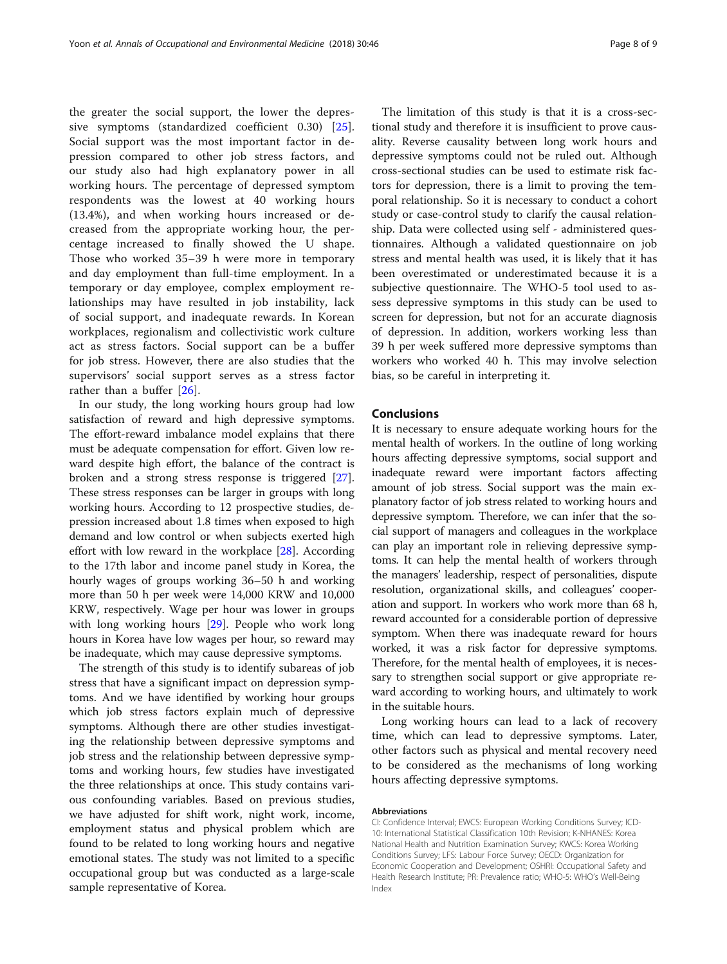the greater the social support, the lower the depressive symptoms (standardized coefficient 0.30) [\[25](#page-8-0)]. Social support was the most important factor in depression compared to other job stress factors, and our study also had high explanatory power in all working hours. The percentage of depressed symptom respondents was the lowest at 40 working hours (13.4%), and when working hours increased or decreased from the appropriate working hour, the percentage increased to finally showed the U shape. Those who worked 35–39 h were more in temporary and day employment than full-time employment. In a temporary or day employee, complex employment relationships may have resulted in job instability, lack of social support, and inadequate rewards. In Korean workplaces, regionalism and collectivistic work culture act as stress factors. Social support can be a buffer for job stress. However, there are also studies that the supervisors' social support serves as a stress factor rather than a buffer [[26\]](#page-8-0).

In our study, the long working hours group had low satisfaction of reward and high depressive symptoms. The effort-reward imbalance model explains that there must be adequate compensation for effort. Given low reward despite high effort, the balance of the contract is broken and a strong stress response is triggered [\[27](#page-8-0)]. These stress responses can be larger in groups with long working hours. According to 12 prospective studies, depression increased about 1.8 times when exposed to high demand and low control or when subjects exerted high effort with low reward in the workplace [[28](#page-8-0)]. According to the 17th labor and income panel study in Korea, the hourly wages of groups working 36–50 h and working more than 50 h per week were 14,000 KRW and 10,000 KRW, respectively. Wage per hour was lower in groups with long working hours [\[29](#page-8-0)]. People who work long hours in Korea have low wages per hour, so reward may be inadequate, which may cause depressive symptoms.

The strength of this study is to identify subareas of job stress that have a significant impact on depression symptoms. And we have identified by working hour groups which job stress factors explain much of depressive symptoms. Although there are other studies investigating the relationship between depressive symptoms and job stress and the relationship between depressive symptoms and working hours, few studies have investigated the three relationships at once. This study contains various confounding variables. Based on previous studies, we have adjusted for shift work, night work, income, employment status and physical problem which are found to be related to long working hours and negative emotional states. The study was not limited to a specific occupational group but was conducted as a large-scale sample representative of Korea.

The limitation of this study is that it is a cross-sectional study and therefore it is insufficient to prove causality. Reverse causality between long work hours and depressive symptoms could not be ruled out. Although cross-sectional studies can be used to estimate risk factors for depression, there is a limit to proving the temporal relationship. So it is necessary to conduct a cohort study or case-control study to clarify the causal relationship. Data were collected using self - administered questionnaires. Although a validated questionnaire on job stress and mental health was used, it is likely that it has been overestimated or underestimated because it is a subjective questionnaire. The WHO-5 tool used to assess depressive symptoms in this study can be used to screen for depression, but not for an accurate diagnosis of depression. In addition, workers working less than 39 h per week suffered more depressive symptoms than workers who worked 40 h. This may involve selection bias, so be careful in interpreting it.

#### Conclusions

It is necessary to ensure adequate working hours for the mental health of workers. In the outline of long working hours affecting depressive symptoms, social support and inadequate reward were important factors affecting amount of job stress. Social support was the main explanatory factor of job stress related to working hours and depressive symptom. Therefore, we can infer that the social support of managers and colleagues in the workplace can play an important role in relieving depressive symptoms. It can help the mental health of workers through the managers' leadership, respect of personalities, dispute resolution, organizational skills, and colleagues' cooperation and support. In workers who work more than 68 h, reward accounted for a considerable portion of depressive symptom. When there was inadequate reward for hours worked, it was a risk factor for depressive symptoms. Therefore, for the mental health of employees, it is necessary to strengthen social support or give appropriate reward according to working hours, and ultimately to work in the suitable hours.

Long working hours can lead to a lack of recovery time, which can lead to depressive symptoms. Later, other factors such as physical and mental recovery need to be considered as the mechanisms of long working hours affecting depressive symptoms.

#### Abbreviations

CI: Confidence Interval; EWCS: European Working Conditions Survey; ICD-10: International Statistical Classification 10th Revision; K-NHANES: Korea National Health and Nutrition Examination Survey; KWCS: Korea Working Conditions Survey; LFS: Labour Force Survey; OECD: Organization for Economic Cooperation and Development; OSHRI: Occupational Safety and Health Research Institute; PR: Prevalence ratio; WHO-5: WHO's Well-Being Index